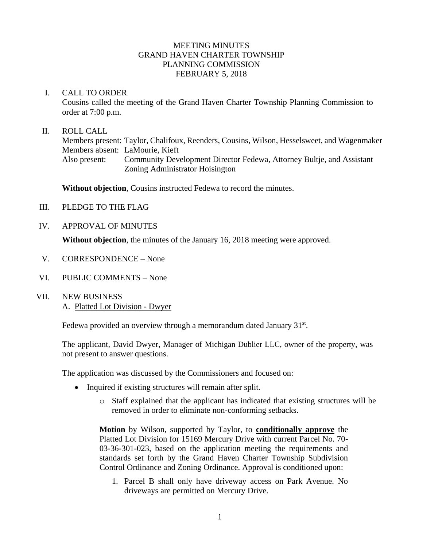### MEETING MINUTES GRAND HAVEN CHARTER TOWNSHIP PLANNING COMMISSION FEBRUARY 5, 2018

#### I. CALL TO ORDER

Cousins called the meeting of the Grand Haven Charter Township Planning Commission to order at 7:00 p.m.

#### II. ROLL CALL

Members present: Taylor, Chalifoux, Reenders, Cousins, Wilson, Hesselsweet, and Wagenmaker Members absent: LaMourie, Kieft Also present: Community Development Director Fedewa, Attorney Bultje, and Assistant Zoning Administrator Hoisington

**Without objection**, Cousins instructed Fedewa to record the minutes.

- III. PLEDGE TO THE FLAG
- IV. APPROVAL OF MINUTES

**Without objection**, the minutes of the January 16, 2018 meeting were approved.

- V. CORRESPONDENCE None
- VI. PUBLIC COMMENTS None
- VII. NEW BUSINESS A. Platted Lot Division - Dwyer

Fedewa provided an overview through a memorandum dated January 31st.

The applicant, David Dwyer, Manager of Michigan Dublier LLC, owner of the property, was not present to answer questions.

The application was discussed by the Commissioners and focused on:

- Inquired if existing structures will remain after split.
	- o Staff explained that the applicant has indicated that existing structures will be removed in order to eliminate non-conforming setbacks.

**Motion** by Wilson, supported by Taylor, to **conditionally approve** the Platted Lot Division for 15169 Mercury Drive with current Parcel No. 70- 03-36-301-023, based on the application meeting the requirements and standards set forth by the Grand Haven Charter Township Subdivision Control Ordinance and Zoning Ordinance. Approval is conditioned upon:

1. Parcel B shall only have driveway access on Park Avenue. No driveways are permitted on Mercury Drive.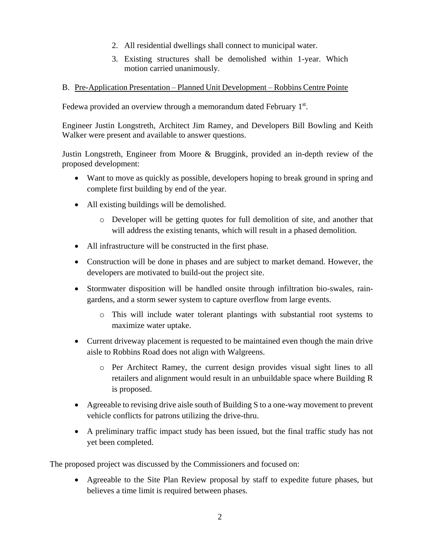- 2. All residential dwellings shall connect to municipal water.
- 3. Existing structures shall be demolished within 1-year. Which motion carried unanimously.

### B. Pre-Application Presentation – Planned Unit Development – Robbins Centre Pointe

Fedewa provided an overview through a memorandum dated February 1st.

Engineer Justin Longstreth, Architect Jim Ramey, and Developers Bill Bowling and Keith Walker were present and available to answer questions.

Justin Longstreth, Engineer from Moore & Bruggink, provided an in-depth review of the proposed development:

- Want to move as quickly as possible, developers hoping to break ground in spring and complete first building by end of the year.
- All existing buildings will be demolished.
	- o Developer will be getting quotes for full demolition of site, and another that will address the existing tenants, which will result in a phased demolition.
- All infrastructure will be constructed in the first phase.
- Construction will be done in phases and are subject to market demand. However, the developers are motivated to build-out the project site.
- Stormwater disposition will be handled onsite through infiltration bio-swales, raingardens, and a storm sewer system to capture overflow from large events.
	- o This will include water tolerant plantings with substantial root systems to maximize water uptake.
- Current driveway placement is requested to be maintained even though the main drive aisle to Robbins Road does not align with Walgreens.
	- o Per Architect Ramey, the current design provides visual sight lines to all retailers and alignment would result in an unbuildable space where Building R is proposed.
- Agreeable to revising drive aisle south of Building S to a one-way movement to prevent vehicle conflicts for patrons utilizing the drive-thru.
- A preliminary traffic impact study has been issued, but the final traffic study has not yet been completed.

The proposed project was discussed by the Commissioners and focused on:

• Agreeable to the Site Plan Review proposal by staff to expedite future phases, but believes a time limit is required between phases.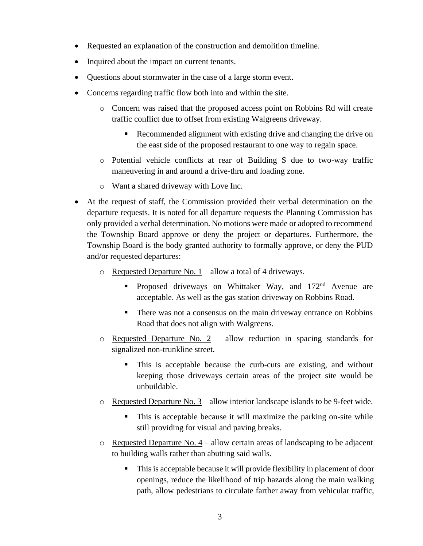- Requested an explanation of the construction and demolition timeline.
- Inquired about the impact on current tenants.
- Questions about stormwater in the case of a large storm event.
- Concerns regarding traffic flow both into and within the site.
	- o Concern was raised that the proposed access point on Robbins Rd will create traffic conflict due to offset from existing Walgreens driveway.
		- Recommended alignment with existing drive and changing the drive on the east side of the proposed restaurant to one way to regain space.
	- o Potential vehicle conflicts at rear of Building S due to two-way traffic maneuvering in and around a drive-thru and loading zone.
	- o Want a shared driveway with Love Inc.
- At the request of staff, the Commission provided their verbal determination on the departure requests. It is noted for all departure requests the Planning Commission has only provided a verbal determination. No motions were made or adopted to recommend the Township Board approve or deny the project or departures. Furthermore, the Township Board is the body granted authority to formally approve, or deny the PUD and/or requested departures:
	- o Requested Departure No. 1 allow a total of 4 driveways.
		- **•** Proposed driveways on Whittaker Way, and 172<sup>nd</sup> Avenue are acceptable. As well as the gas station driveway on Robbins Road.
		- **•** There was not a consensus on the main driveway entrance on Robbins Road that does not align with Walgreens.
	- o Requested Departure No. 2 allow reduction in spacing standards for signalized non-trunkline street.
		- This is acceptable because the curb-cuts are existing, and without keeping those driveways certain areas of the project site would be unbuildable.
	- $\circ$  Requested Departure No. 3 allow interior landscape islands to be 9-feet wide.
		- This is acceptable because it will maximize the parking on-site while still providing for visual and paving breaks.
	- o Requested Departure No. 4 allow certain areas of landscaping to be adjacent to building walls rather than abutting said walls.
		- This is acceptable because it will provide flexibility in placement of door openings, reduce the likelihood of trip hazards along the main walking path, allow pedestrians to circulate farther away from vehicular traffic,